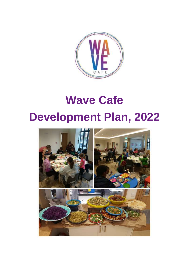

# **Wave Cafe Development Plan, 2022**

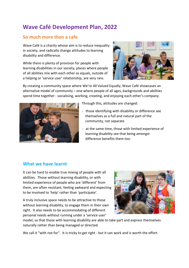# **Wave Café Development Plan, 2022**

# **So much more than a cafe**

Wave Café is a charity whose aim is to reduce inequality in society, and radically change attitudes to learning disability and difference.

While there is plenty of provision for people with learning disabilities in our society, places where people of all abilities mix with each other as equals, outside of a helping or 'service user' relationship, are very rare.



By creating a community space where We're All Valued Equally, Wave Café showcases an alternative model of community – one where people of all ages, backgrounds and abilities spend time together - socialising, working, creating, and enjoying each other's company.



Through this, attitudes are changed:

- those identifying with disability or difference see themselves as a full and natural part of the community, not separate
- at the same time, those with limited experience of learning disability see that being amongst difference benefits them too.

# **What we have learnt**

It can be hard to enable true mixing of people with all abilities. Those without learning disability, or with limited experience of people who are 'different' from them, are often resistant, feeling awkward and expecting to be involved to 'help' rather than 'participate'.

A truly inclusive space needs to be attractive to those without learning disability, to engage them in their own right. It also needs to be accommodating of different personal needs without running under a 'service user'



model, so that those with learning disability are able to take part and express themselves naturally rather than being managed or directed.

We call it "with not for". It is tricky to get right - but it can work and is worth the effort.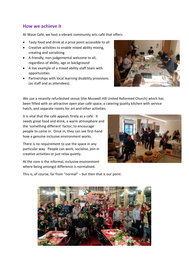## **How we achieve it**

At Wave Café, we host a vibrant community arts café that offers:

- Tasty food and drink at a price point accessible to all
- Creative activities to enable mixed ability mixing, creating and socialising
- A friendly, non-judgemental welcome to all, regardless of ability, age or background
- A live example of a mixed ability staff team with opportunities
- Partnerships with local learning disability provisions (as staff and as attendees).



We use a recently refurbished venue (the Muswell Hill United Reformed Church) which has been fitted with an attractive open plan café space, a catering quality kitchen with service hatch, and separate rooms for art and other activities.

It is vital that the café appeals firstly as a café. It needs great food and drink, a warm atmosphere and the 'something different' factor, to encourage people to come in. Once in, they can see first-hand how a genuine inclusive environment works.

There is no requirement to use the space in any particular way. People can work, socialise, join in creative activities or just relax quietly.

At the core is the informal, inclusive environment where being amongst difference is normalised.



This is, of course, far from "normal" – but then that is our point.

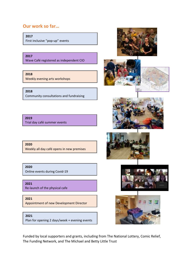### **Our work so far…**

**2017**

First inclusive "pop-up" events

**2017**

Wave Café registered as independent CIO

**2018**

Weekly evening arts workshops

**2018**  Community consultations and fundraising

**2019** Trial day café summer events

**2020** Weekly all day café opens in new premises

**2020**

Online events during Covid-19

**2021**

Re-launch of the physical cafe

**2021**

Appointment of new Development Director

**2021**

Plan for opening 2 days/week + evening events













Funded by local supporters and grants, including from The National Lottery, Comic Relief, The Funding Network, and The Michael and Betty Little Trust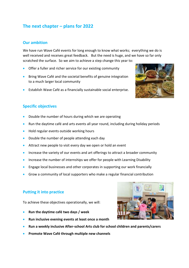# **The next chapter – plans for 2022**

#### **Our ambition**

We have run Wave Café events for long enough to know what works; everything we do is well received and receives great feedback. But the need is huge, and we have so far only scratched the surface. So we aim to achieve a step change this year to:

- Offer a fuller and richer service for our existing community
- Bring Wave Café and the societal benefits of genuine integration to a much larger local community
- Establish Wave Café as a financially sustainable social enterprise.

# **Specific objectives**

- Double the number of hours during which we are operating
- Run the daytime café and arts events all year round, including during holiday periods
- Hold regular events outside working hours
- Double the number of people attending each day
- **•** Attract new people to visit every day we open or hold an event
- Increase the variety of our events and art offerings to attract a broader community
- Increase the number of internships we offer for people with Learning Disability
- **Engage local businesses and other corporates in supporting our work financially**
- Grow a community of local supporters who make a regular financial contribution

#### **Putting it into practice**

To achieve these objectives operationally, we will:

- **Run the daytime café two days / week**
- **Run inclusive evening events at least once a month**
- **Run a weekly inclusive After-school Arts club for school children and parents/carers**
- **Promote Wave Café through multiple new channels**



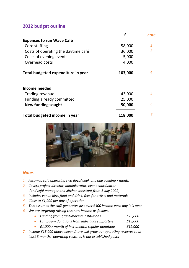### **2022 budget outline**

|                                     | £       | note           |
|-------------------------------------|---------|----------------|
| <b>Expenses to run Wave Café</b>    |         |                |
| Core staffing                       | 58,000  | $\overline{2}$ |
| Costs of operating the daytime café | 36,000  | 3              |
| Costs of evening events             | 5,000   |                |
| Overhead costs                      | 4,000   |                |
| Total budgeted expenditure in year  | 103,000 | 4              |
| Income needed                       |         |                |
| Trading revenue                     | 43,000  | 5              |
| Funding already committed           | 25,000  |                |
| New funding sought                  | 50,000  | 6              |
| Total budgeted income in year       | 118,000 | 7              |



#### *Notes*

- *1. Assumes café operating two days/week and one evening / month*
- *2. Covers project director, administrator, event coordinator (and café manager and kitchen assistant from 1 July 2022)*
- *3. Includes venue hire, food and drink, fees for artists and materials*
- *4. Close to £1,000 per day of operation*
- *5. This assumes the café generates just over £400 income each day it is open*
- *6. We are targeting raising this new income as follows:*
	- *Funding from grant-making institutions £25,000*
	- *Lump sum donations from individual supporters £13,000*
	- *£1,000 / month of incremental regular donations £12,000*
- *7. Income £15,000 above expenditure will grow our operating reserves to at least 3 months' operating costs, as is our established policy*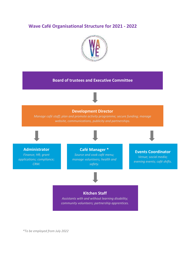### **Wave Café Organisational Structure for 2021 - 2022**



#### **Board of trustees and Executive Committee**

#### **Development Director**

*Manage café staff; plan and promote activity programme; secure funding; manage* 

**Administrator** *Finance; HR; grant applications; compliance; CRM.*

**Café Manager \***

*Source and cook café menu; manage volunteers; health and safety.*

#### **Events Coordinator**

*Venue; social media; evening events; café shifts.*

#### **Kitchen Staff**

*Assistants with and without learning disability; community volunteers; partnership apprentices.*

*\*To be employed from July 2022*